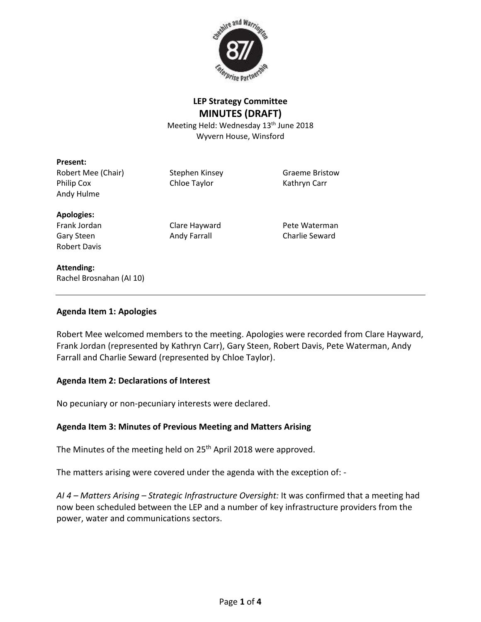

# **LEP Strategy Committee MINUTES (DRAFT)**

Meeting Held: Wednesday 13<sup>th</sup> June 2018 Wyvern House, Winsford

#### **Present:**

Robert Mee (Chair) Stephen Kinsey Graeme Bristow Philip Cox Chloe Taylor Carr Kathryn Carr Andy Hulme

#### **Apologies:**

Robert Davis

Frank Jordan Clare Hayward Pete Waterman Gary Steen **Andy Farrall** Charlie Seward

#### **Attending:**

Rachel Brosnahan (AI 10)

#### **Agenda Item 1: Apologies**

Robert Mee welcomed members to the meeting. Apologies were recorded from Clare Hayward, Frank Jordan (represented by Kathryn Carr), Gary Steen, Robert Davis, Pete Waterman, Andy Farrall and Charlie Seward (represented by Chloe Taylor).

#### **Agenda Item 2: Declarations of Interest**

No pecuniary or non-pecuniary interests were declared.

# **Agenda Item 3: Minutes of Previous Meeting and Matters Arising**

The Minutes of the meeting held on 25<sup>th</sup> April 2018 were approved.

The matters arising were covered under the agenda with the exception of: -

*AI 4 – Matters Arising – Strategic Infrastructure Oversight:* It was confirmed that a meeting had now been scheduled between the LEP and a number of key infrastructure providers from the power, water and communications sectors.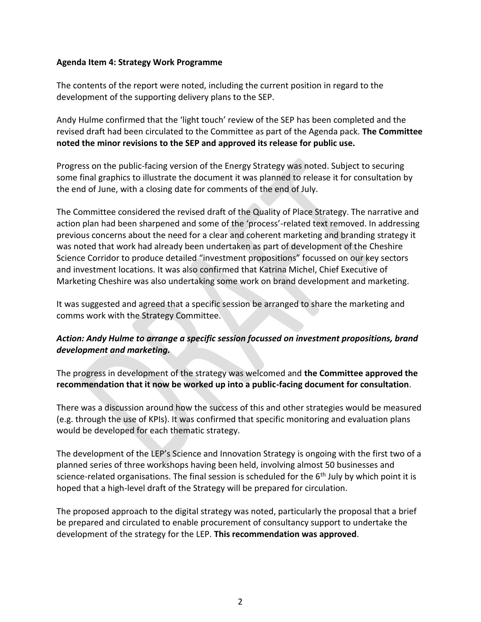#### **Agenda Item 4: Strategy Work Programme**

The contents of the report were noted, including the current position in regard to the development of the supporting delivery plans to the SEP.

Andy Hulme confirmed that the 'light touch' review of the SEP has been completed and the revised draft had been circulated to the Committee as part of the Agenda pack. **The Committee noted the minor revisions to the SEP and approved its release for public use.** 

Progress on the public-facing version of the Energy Strategy was noted. Subject to securing some final graphics to illustrate the document it was planned to release it for consultation by the end of June, with a closing date for comments of the end of July.

The Committee considered the revised draft of the Quality of Place Strategy. The narrative and action plan had been sharpened and some of the 'process'-related text removed. In addressing previous concerns about the need for a clear and coherent marketing and branding strategy it was noted that work had already been undertaken as part of development of the Cheshire Science Corridor to produce detailed "investment propositions" focussed on our key sectors and investment locations. It was also confirmed that Katrina Michel, Chief Executive of Marketing Cheshire was also undertaking some work on brand development and marketing.

It was suggested and agreed that a specific session be arranged to share the marketing and comms work with the Strategy Committee.

# *Action: Andy Hulme to arrange a specific session focussed on investment propositions, brand development and marketing.*

The progress in development of the strategy was welcomed and **the Committee approved the recommendation that it now be worked up into a public-facing document for consultation**.

There was a discussion around how the success of this and other strategies would be measured (e.g. through the use of KPIs). It was confirmed that specific monitoring and evaluation plans would be developed for each thematic strategy.

The development of the LEP's Science and Innovation Strategy is ongoing with the first two of a planned series of three workshops having been held, involving almost 50 businesses and science-related organisations. The final session is scheduled for the  $6<sup>th</sup>$  July by which point it is hoped that a high-level draft of the Strategy will be prepared for circulation.

The proposed approach to the digital strategy was noted, particularly the proposal that a brief be prepared and circulated to enable procurement of consultancy support to undertake the development of the strategy for the LEP. **This recommendation was approved**.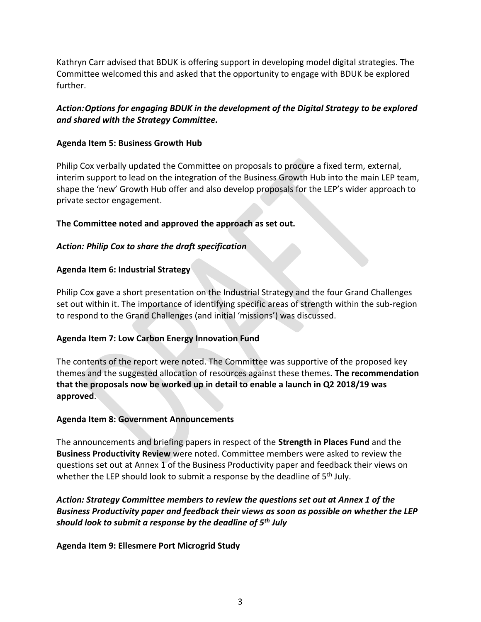Kathryn Carr advised that BDUK is offering support in developing model digital strategies. The Committee welcomed this and asked that the opportunity to engage with BDUK be explored further.

# *Action:Options for engaging BDUK in the development of the Digital Strategy to be explored and shared with the Strategy Committee.*

## **Agenda Item 5: Business Growth Hub**

Philip Cox verbally updated the Committee on proposals to procure a fixed term, external, interim support to lead on the integration of the Business Growth Hub into the main LEP team, shape the 'new' Growth Hub offer and also develop proposals for the LEP's wider approach to private sector engagement.

### **The Committee noted and approved the approach as set out.**

# *Action: Philip Cox to share the draft specification*

### **Agenda Item 6: Industrial Strategy**

Philip Cox gave a short presentation on the Industrial Strategy and the four Grand Challenges set out within it. The importance of identifying specific areas of strength within the sub-region to respond to the Grand Challenges (and initial 'missions') was discussed.

#### **Agenda Item 7: Low Carbon Energy Innovation Fund**

The contents of the report were noted. The Committee was supportive of the proposed key themes and the suggested allocation of resources against these themes. **The recommendation that the proposals now be worked up in detail to enable a launch in Q2 2018/19 was approved**.

#### **Agenda Item 8: Government Announcements**

The announcements and briefing papers in respect of the **Strength in Places Fund** and the **Business Productivity Review** were noted. Committee members were asked to review the questions set out at Annex 1 of the Business Productivity paper and feedback their views on whether the LEP should look to submit a response by the deadline of  $5<sup>th</sup>$  July.

# *Action: Strategy Committee members to review the questions set out at Annex 1 of the Business Productivity paper and feedback their views as soon as possible on whether the LEP should look to submit a response by the deadline of 5th July*

#### **Agenda Item 9: Ellesmere Port Microgrid Study**